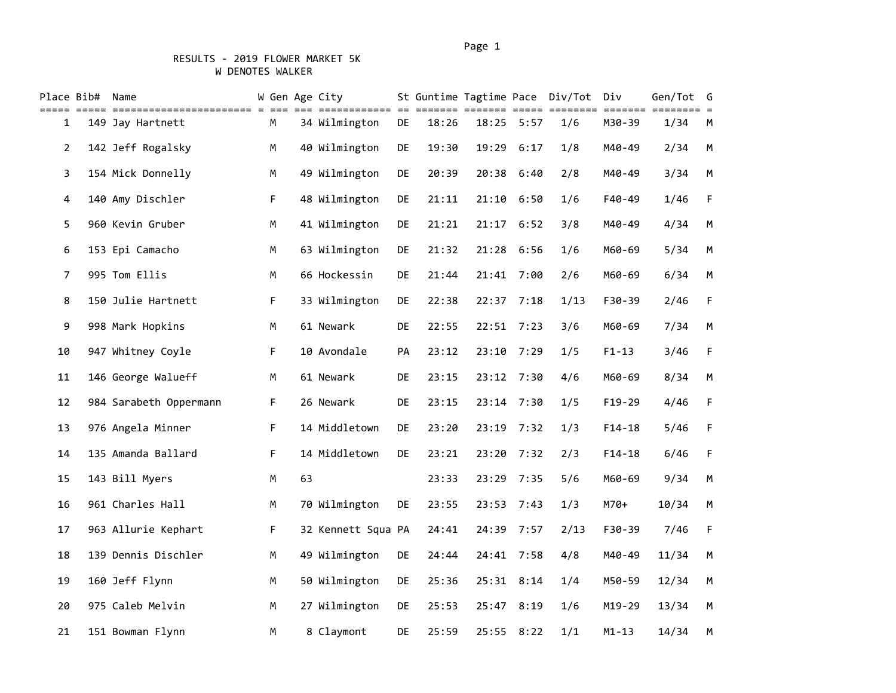# RESULTS - 2019 FLOWER MARKET 5K W DENOTES WALKER

|                | Place Bib# | Name                   |    |    | W Gen Age City     |     | St Guntime Tagtime Pace<br>=== == |       | == ==:     | Div/Tot | Div       | Gen/Tot | G<br>$= 2$ |
|----------------|------------|------------------------|----|----|--------------------|-----|-----------------------------------|-------|------------|---------|-----------|---------|------------|
| 1              |            | 149 Jay Hartnett       | М  |    | 34 Wilmington      | DE  | 18:26                             | 18:25 | 5:57       | 1/6     | M30-39    | 1/34    | М          |
| $\overline{2}$ |            | 142 Jeff Rogalsky      | M  |    | 40 Wilmington      | DE  | 19:30                             | 19:29 | 6:17       | 1/8     | M40-49    | 2/34    | M          |
| 3              |            | 154 Mick Donnelly      | M  |    | 49 Wilmington      | DE  | 20:39                             | 20:38 | 6:40       | 2/8     | M40-49    | 3/34    | M          |
| $\overline{4}$ |            | 140 Amy Dischler       | F  |    | 48 Wilmington      | DE  | 21:11                             | 21:10 | 6:50       | 1/6     | F40-49    | 1/46    | F          |
| 5              |            | 960 Kevin Gruber       | M  |    | 41 Wilmington      | DE  | 21:21                             | 21:17 | 6:52       | 3/8     | M40-49    | 4/34    | M          |
| 6              |            | 153 Epi Camacho        | M  |    | 63 Wilmington      | DE  | 21:32                             |       | 21:28 6:56 | 1/6     | M60-69    | 5/34    | M          |
| $\overline{7}$ |            | 995 Tom Ellis          | M  |    | 66 Hockessin       | DE. | 21:44                             |       | 21:41 7:00 | 2/6     | M60-69    | 6/34    | M          |
| 8              |            | 150 Julie Hartnett     | F. |    | 33 Wilmington      | DE  | 22:38                             | 22:37 | 7:18       | 1/13    | F30-39    | 2/46    | F          |
| 9              |            | 998 Mark Hopkins       | M  |    | 61 Newark          | DE  | 22:55                             | 22:51 | 7:23       | 3/6     | M60-69    | 7/34    | M          |
| 10             |            | 947 Whitney Coyle      | F. |    | 10 Avondale        | PA  | 23:12                             | 23:10 | 7:29       | 1/5     | $F1 - 13$ | 3/46    | F          |
| 11             |            | 146 George Walueff     | М  |    | 61 Newark          | DE  | 23:15                             |       | 23:12 7:30 | 4/6     | M60-69    | 8/34    | M          |
| 12             |            | 984 Sarabeth Oppermann | F  |    | 26 Newark          | DE  | 23:15                             | 23:14 | 7:30       | 1/5     | F19-29    | 4/46    | F          |
| 13             |            | 976 Angela Minner      | F  |    | 14 Middletown      | DE  | 23:20                             | 23:19 | 7:32       | 1/3     | $F14-18$  | 5/46    | F          |
| 14             |            | 135 Amanda Ballard     | F  |    | 14 Middletown      | DE  | 23:21                             | 23:20 | 7:32       | 2/3     | $F14-18$  | 6/46    | F          |
| 15             |            | 143 Bill Myers         | M  | 63 |                    |     | 23:33                             | 23:29 | 7:35       | 5/6     | M60-69    | 9/34    | M          |
| 16             |            | 961 Charles Hall       | M  |    | 70 Wilmington      | DE  | 23:55                             | 23:53 | 7:43       | 1/3     | $M70+$    | 10/34   | M          |
| 17             |            | 963 Allurie Kephart    | F  |    | 32 Kennett Squa PA |     | 24:41                             | 24:39 | 7:57       | 2/13    | F30-39    | 7/46    | F          |
| 18             |            | 139 Dennis Dischler    | M  |    | 49 Wilmington      | DE  | 24:44                             | 24:41 | 7:58       | 4/8     | M40-49    | 11/34   | M          |
| 19             |            | 160 Jeff Flynn         | M  |    | 50 Wilmington      | DE  | 25:36                             |       | 25:31 8:14 | 1/4     | M50-59    | 12/34   | M          |
| 20             |            | 975 Caleb Melvin       | M  |    | 27 Wilmington      | DE  | 25:53                             | 25:47 | 8:19       | 1/6     | M19-29    | 13/34   | M          |
| 21             |            | 151 Bowman Flynn       | M  |    | 8 Claymont         | DE. | 25:59                             | 25:55 | 8:22       | 1/1     | $M1 - 13$ | 14/34   | M          |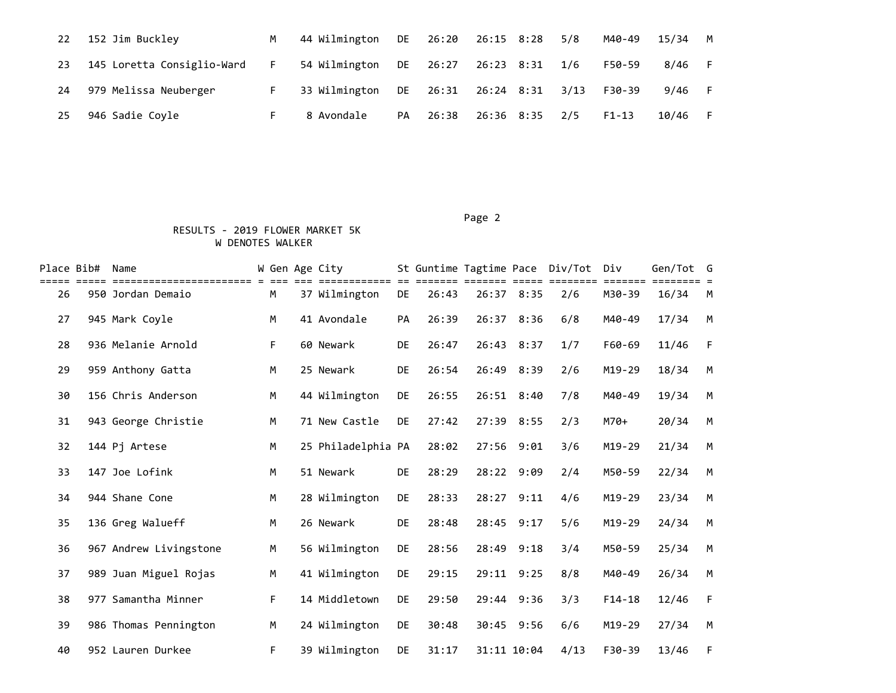| 22 | 152 Jim Buckley            | M        | 44 Wilmington DE 26:20 26:15 8:28 5/8 |    |                          |                |  | M40-49    | 15/34 M |  |
|----|----------------------------|----------|---------------------------------------|----|--------------------------|----------------|--|-----------|---------|--|
| 23 | 145 Loretta Consiglio-Ward | <b>F</b> | 54 Wilmington                         |    | DE 26:27                 | 26:23 8:31 1/6 |  | F50-59    | 8/46    |  |
| 24 | 979 Melissa Neuberger      |          | 33 Wilmington                         |    | DE 26:31 26:24 8:31 3/13 |                |  | F30-39    | 9/46 F  |  |
| 25 | 946 Sadie Coyle            |          | 8 Avondale                            | PA | 26:38                    | 26:36 8:35 2/5 |  | $F1 - 13$ | 10/46   |  |

#### Page 2 (2012) 2014 12:30:40 (2012) 2014 12:30:40 (2012) 2014 12:30:40 (2012) 2014 12:30:40 (2012) 2014 12:30:40

# RESULTS - 2019 FLOWER MARKET 5K W DENOTES WALKER

| Place Bib# | Name                                      |   | W Gen Age City     |           | St Guntime Tagtime Pace |             |      | Div/Tot | Div      | Gen/Tot G |   |
|------------|-------------------------------------------|---|--------------------|-----------|-------------------------|-------------|------|---------|----------|-----------|---|
| 26         | ====================<br>950 Jordan Demaio | М | 37 Wilmington      | <b>DE</b> | 26:43                   | 26:37 8:35  |      | 2/6     | M30-39   | 16/34     | M |
| 27         | 945 Mark Coyle                            | M | 41 Avondale        | PA        | 26:39                   | 26:37       | 8:36 | 6/8     | M40-49   | 17/34     | M |
| 28         | 936 Melanie Arnold                        | F | 60 Newark          | DE        | 26:47                   | 26:43 8:37  |      | 1/7     | F60-69   | 11/46     | F |
| 29         | 959 Anthony Gatta                         | M | 25 Newark          | DE        | 26:54                   | 26:49       | 8:39 | 2/6     | M19-29   | 18/34     | M |
| 30         | 156 Chris Anderson                        | M | 44 Wilmington      | DE        | 26:55                   | 26:51 8:40  |      | 7/8     | M40-49   | 19/34     | M |
| 31         | 943 George Christie                       | M | 71 New Castle      | <b>DE</b> | 27:42                   | 27:39 8:55  |      | 2/3     | M70+     | 20/34     | M |
| 32         | 144 Pj Artese                             | M | 25 Philadelphia PA |           | 28:02                   | 27:56       | 9:01 | 3/6     | M19-29   | 21/34     | M |
| 33         | 147 Joe Lofink                            | M | 51 Newark          | DE        | 28:29                   | 28:22 9:09  |      | 2/4     | M50-59   | 22/34     | M |
| 34         | 944 Shane Cone                            | M | 28 Wilmington      | DE        | 28:33                   | 28:27       | 9:11 | 4/6     | M19-29   | 23/34     | M |
| 35         | 136 Greg Walueff                          | M | 26 Newark          | <b>DE</b> | 28:48                   | 28:45 9:17  |      | 5/6     | M19-29   | 24/34     | M |
| 36         | 967 Andrew Livingstone                    | M | 56 Wilmington      | <b>DE</b> | 28:56                   | 28:49       | 9:18 | 3/4     | M50-59   | 25/34     | M |
| 37         | 989 Juan Miguel Rojas                     | M | 41 Wilmington      | DE        | 29:15                   | 29:11 9:25  |      | 8/8     | M40-49   | 26/34     | M |
| 38         | 977 Samantha Minner                       | F | 14 Middletown      | <b>DE</b> | 29:50                   | 29:44 9:36  |      | 3/3     | $F14-18$ | 12/46     | F |
| 39         | 986 Thomas Pennington                     | M | 24 Wilmington      | <b>DE</b> | 30:48                   | 30:45 9:56  |      | 6/6     | M19-29   | 27/34     | M |
| 40         | 952 Lauren Durkee                         | F | 39 Wilmington      | DE        | 31:17                   | 31:11 10:04 |      | 4/13    | F30-39   | 13/46     | F |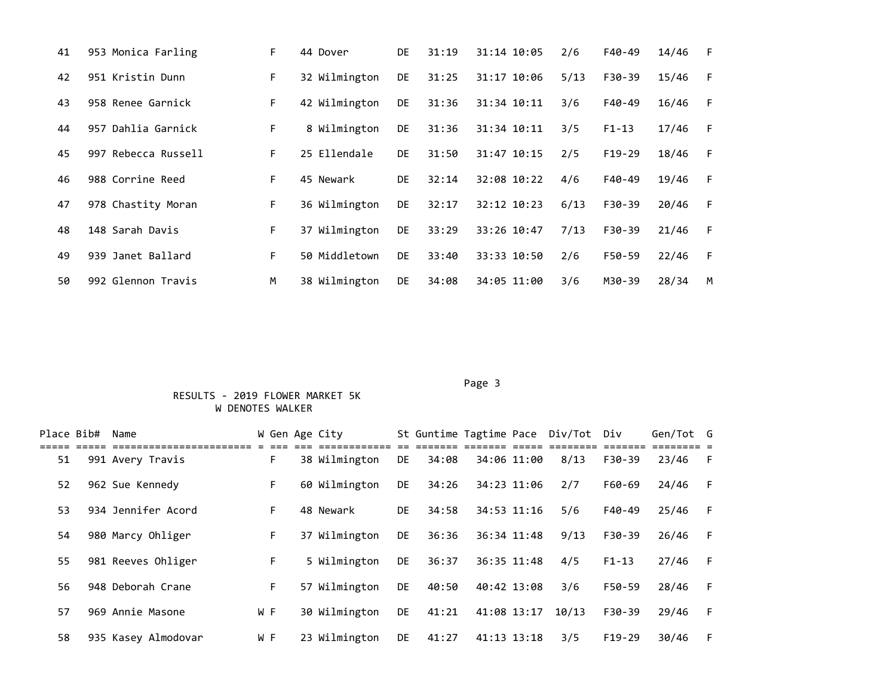| 41 | 953 Monica Farling  | F  | 44 Dover      | <b>DE</b> | 31:19 | 31:14 10:05 | 2/6  | F40-49    | 14/46 | F |
|----|---------------------|----|---------------|-----------|-------|-------------|------|-----------|-------|---|
| 42 | 951 Kristin Dunn    | F. | 32 Wilmington | <b>DE</b> | 31:25 | 31:17 10:06 | 5/13 | F30-39    | 15/46 | F |
| 43 | 958 Renee Garnick   | F. | 42 Wilmington | DE.       | 31:36 | 31:34 10:11 | 3/6  | F40-49    | 16/46 | F |
| 44 | 957 Dahlia Garnick  | F. | 8 Wilmington  | DE.       | 31:36 | 31:34 10:11 | 3/5  | $F1 - 13$ | 17/46 | F |
| 45 | 997 Rebecca Russell | F. | 25 Ellendale  | <b>DE</b> | 31:50 | 31:47 10:15 | 2/5  | $F19-29$  | 18/46 | F |
| 46 | 988 Corrine Reed    | F. | 45 Newark     | <b>DE</b> | 32:14 | 32:08 10:22 | 4/6  | F40-49    | 19/46 | F |
| 47 | 978 Chastity Moran  | F. | 36 Wilmington | <b>DE</b> | 32:17 | 32:12 10:23 | 6/13 | F30-39    | 20/46 | F |
| 48 | 148 Sarah Davis     | F  | 37 Wilmington | DE.       | 33:29 | 33:26 10:47 | 7/13 | F30-39    | 21/46 | F |
| 49 | 939 Janet Ballard   | F. | 50 Middletown | <b>DE</b> | 33:40 | 33:33 10:50 | 2/6  | F50-59    | 22/46 | F |
| 50 | 992 Glennon Travis  | M  | 38 Wilmington | <b>DE</b> | 34:08 | 34:05 11:00 | 3/6  | M30-39    | 28/34 | M |

#### Page 3 and 2012 and 2012 and 2012 and 2012 and 2012 and 2012 and 2012 and 2012 and 2012 and 2012 and 2012 and

### RESULTS - 2019 FLOWER MARKET 5K W DENOTES WALKER

| Place Bib# | Name                |     |    | W Gen Age City |           |       |             |             | St Guntime Tagtime Pace Div/Tot Div |           | Gen/Tot G |    |
|------------|---------------------|-----|----|----------------|-----------|-------|-------------|-------------|-------------------------------------|-----------|-----------|----|
| 51         | 991 Avery Travis    |     | F. | 38 Wilmington  | DE        | 34:08 |             | 34:06 11:00 | 8/13                                | F30-39    | 23/46     | -F |
| 52         | 962 Sue Kennedy     |     | F. | 60 Wilmington  | <b>DE</b> | 34:26 | 34:23 11:06 |             | 2/7                                 | F60-69    | 24/46     | F  |
| 53         | 934 Jennifer Acord  |     | F. | 48 Newark      | <b>DE</b> | 34:58 |             | 34:53 11:16 | 5/6                                 | F40-49    | 25/46     | -F |
| 54         | 980 Marcy Ohliger   |     | F. | 37 Wilmington  | DE.       | 36:36 | 36:34 11:48 |             | 9/13                                | F30-39    | 26/46     | -F |
| 55         | 981 Reeves Ohliger  |     | F. | 5 Wilmington   | DE        | 36:37 | 36:35 11:48 |             | 4/5                                 | $F1 - 13$ | 27/46     | F  |
| 56         | 948 Deborah Crane   |     | F. | 57 Wilmington  | DE        | 40:50 | 40:42 13:08 |             | 3/6                                 | F50-59    | 28/46     | F  |
| 57         | 969 Annie Masone    | W F |    | 30 Wilmington  | DE        | 41:21 | 41:08 13:17 |             | 10/13                               | F30-39    | 29/46     | -F |
| 58         | 935 Kasey Almodovar | W F |    | 23 Wilmington  | DE        | 41:27 | 41:13 13:18 |             | 3/5                                 | $F19-29$  | 30/46     | F  |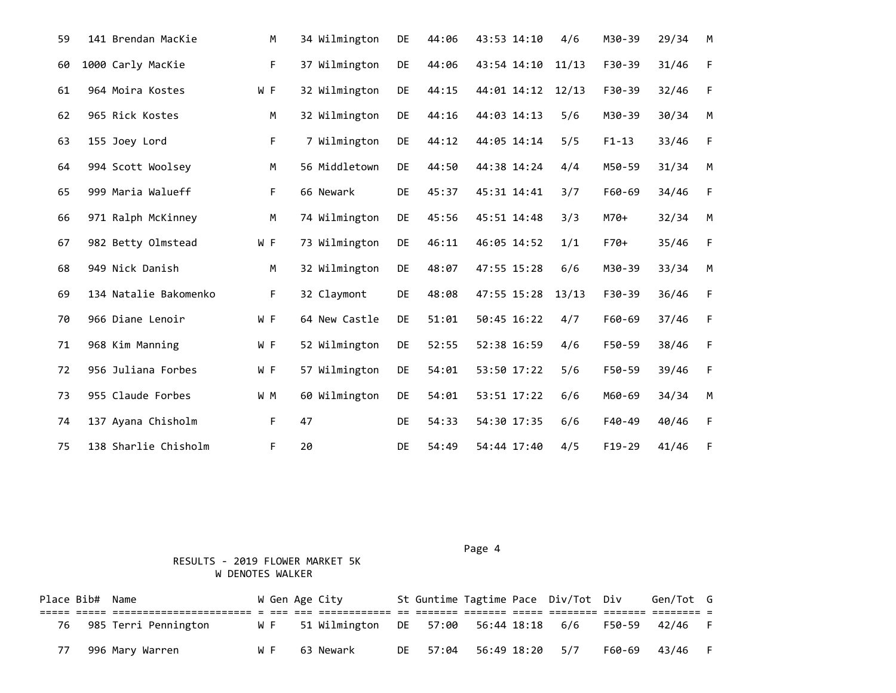| 59 | 141 Brendan MacKie    | M           | 34 Wilmington | DE        | 44:06 | 43:53 14:10 | 4/6   | M30-39    | 29/34 | M           |
|----|-----------------------|-------------|---------------|-----------|-------|-------------|-------|-----------|-------|-------------|
| 60 | 1000 Carly MacKie     | F           | 37 Wilmington | DE        | 44:06 | 43:54 14:10 | 11/13 | F30-39    | 31/46 | $\mathsf F$ |
| 61 | 964 Moira Kostes      | W F         | 32 Wilmington | DE        | 44:15 | 44:01 14:12 | 12/13 | F30-39    | 32/46 | F           |
| 62 | 965 Rick Kostes       | M           | 32 Wilmington | DE        | 44:16 | 44:03 14:13 | 5/6   | M30-39    | 30/34 | M           |
| 63 | 155 Joey Lord         | $\mathsf F$ | 7 Wilmington  | DE        | 44:12 | 44:05 14:14 | 5/5   | $F1 - 13$ | 33/46 | F           |
| 64 | 994 Scott Woolsey     | M           | 56 Middletown | <b>DE</b> | 44:50 | 44:38 14:24 | 4/4   | M50-59    | 31/34 | M           |
| 65 | 999 Maria Walueff     | F           | 66 Newark     | DE        | 45:37 | 45:31 14:41 | 3/7   | F60-69    | 34/46 | F           |
| 66 | 971 Ralph McKinney    | M           | 74 Wilmington | DE        | 45:56 | 45:51 14:48 | 3/3   | M70+      | 32/34 | M           |
| 67 | 982 Betty Olmstead    | W F         | 73 Wilmington | DE        | 46:11 | 46:05 14:52 | 1/1   | F70+      | 35/46 | F           |
| 68 | 949 Nick Danish       | M           | 32 Wilmington | DE        | 48:07 | 47:55 15:28 | 6/6   | M30-39    | 33/34 | M           |
| 69 | 134 Natalie Bakomenko | F           | 32 Claymont   | DE        | 48:08 | 47:55 15:28 | 13/13 | F30-39    | 36/46 | $\mathsf F$ |
| 70 | 966 Diane Lenoir      | W F         | 64 New Castle | DE        | 51:01 | 50:45 16:22 | 4/7   | F60-69    | 37/46 | $\mathsf F$ |
| 71 | 968 Kim Manning       | W F         | 52 Wilmington | DE        | 52:55 | 52:38 16:59 | 4/6   | F50-59    | 38/46 | $\mathsf F$ |
| 72 | 956 Juliana Forbes    | W F         | 57 Wilmington | DE        | 54:01 | 53:50 17:22 | 5/6   | F50-59    | 39/46 | F           |
| 73 | 955 Claude Forbes     | W M         | 60 Wilmington | DE        | 54:01 | 53:51 17:22 | 6/6   | M60-69    | 34/34 | M           |
| 74 | 137 Ayana Chisholm    | F           | 47            | DE        | 54:33 | 54:30 17:35 | 6/6   | F40-49    | 40/46 | F           |
| 75 | 138 Sharlie Chisholm  | F           | 20            | DE        | 54:49 | 54:44 17:40 | 4/5   | $F19-29$  | 41/46 | F           |

 RESULTS - 2019 FLOWER MARKET 5K W DENOTES WALKER

Place Bib# Name  $\blacksquare$  W Gen Age City St Guntime Tagtime Pace Div/Tot Div Gen/Tot G ===== ===== ======================= = === === ============ == ======= ======= ===== ======== ======= ======== = 76 985 Terri Pennington W F 51 Wilmington DE 57:00 56:44 18:18 6/6 F50-59 42/46 F 77 996 Mary Warren W F 63 Newark DE 57:04 56:49 18:20 5/7 F60-69 43/46 F

Page 4 and the state of the state of the state of the state of the state of the state of the state of the state of the state of the state of the state of the state of the state of the state of the state of the state of the